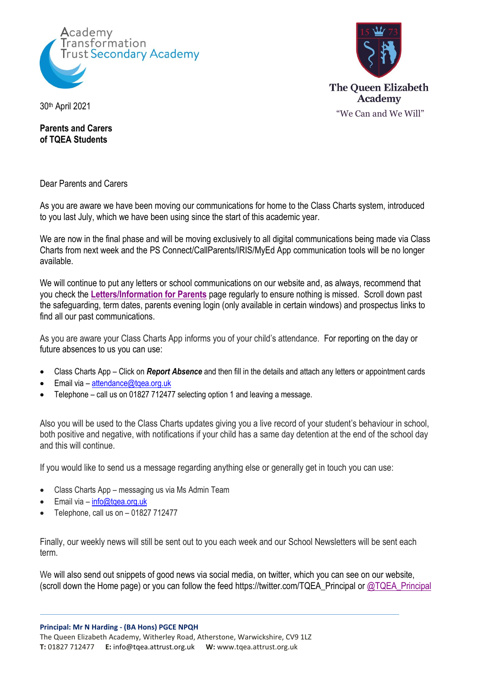



30th April 2021

**Parents and Carers of TQEA Students**

Dear Parents and Carers

As you are aware we have been moving our communications for home to the Class Charts system, introduced to you last July, which we have been using since the start of this academic year.

We are now in the final phase and will be moving exclusively to all digital communications being made via Class Charts from next week and the PS Connect/CallParents/IRIS/MyEd App communication tools will be no longer available.

We will continue to put any letters or school communications on our website and, as always, recommend that you check the **[Letters/Information for Parents](https://tqea.attrust.org.uk/parents/letters-information-for-parents/)** page regularly to ensure nothing is missed. Scroll down past the safeguarding, term dates, parents evening login (only available in certain windows) and prospectus links to find all our past communications.

As you are aware your Class Charts App informs you of your child's attendance. For reporting on the day or future absences to us you can use:

- Class Charts App Click on *Report Absence* and then fill in the details and attach any letters or appointment cards
- Email via [attendance@tqea.org.uk](mailto:attendance@tqea.org.uk)
- Telephone call us on 01827 712477 selecting option 1 and leaving a message.

Also you will be used to the Class Charts updates giving you a live record of your student's behaviour in school, both positive and negative, with notifications if your child has a same day detention at the end of the school day and this will continue.

If you would like to send us a message regarding anything else or generally get in touch you can use:

- Class Charts App messaging us via Ms Admin Team
- Email via info@tgea.org.uk
- Telephone, call us on 01827 712477

Finally, our weekly news will still be sent out to you each week and our School Newsletters will be sent each term.

We will also send out snippets of good news via social media, on twitter, which you can see on our website, (scroll down the Home page) or you can follow the feed https://twitter.com/TQEA\_Principal or [@TQEA\\_Principal](https://twitter.com/TQEA_Principal)